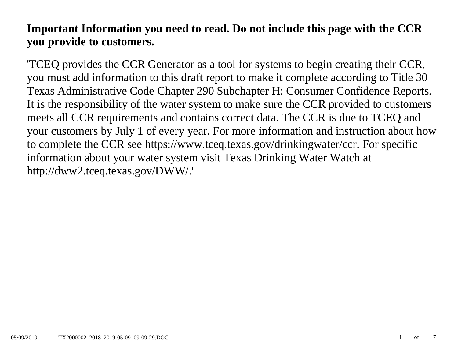# **Important Information you need to read. Do not include this page with the CCR you provide to customers.**

'TCEQ provides the CCR Generator as a tool for systems to begin creating their CCR, you must add information to this draft report to make it complete according to Title 30 Texas Administrative Code Chapter 290 Subchapter H: Consumer Confidence Reports. It is the responsibility of the water system to make sure the CCR provided to customers meets all CCR requirements and contains correct data. The CCR is due to TCEQ and your customers by July 1 of every year. For more information and instruction about how to complete the CCR see https://www.tceq.texas.gov/drinkingwater/ccr. For specific information about your water system visit Texas Drinking Water Watch at http://dww2.tceq.texas.gov/DWW/.'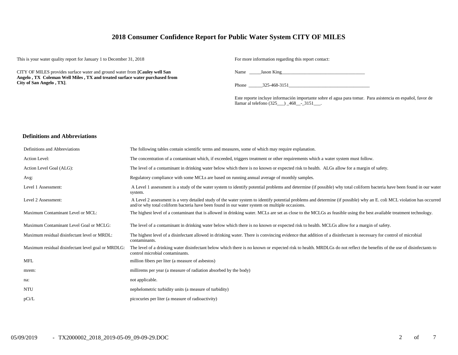# **2018 Consumer Confidence Report for Public Water System CITY OF MILES**

This is your water quality report for January 1 to December 31, 2018 For more information regarding this report contact:

CITY OF MILES provides surface water and ground water from **[Cauley well San Angelo , TX Coleman Well Miles , TX and treated surface water purchased from City of San Angelo , TX]**.

Name Jason King

Phone  $325-468-3151$ 

Este reporte incluye información importante sobre el agua para tomar. Para asistencia en español, favor de llamar al telefono (325\_\_\_) \_468\_\_-\_3151\_\_\_.

#### **Definitions and Abbreviations**

| Definitions and Abbreviations                      | The following tables contain scientific terms and measures, some of which may require explanation.                                                                                                                                                                      |
|----------------------------------------------------|-------------------------------------------------------------------------------------------------------------------------------------------------------------------------------------------------------------------------------------------------------------------------|
| Action Level:                                      | The concentration of a contaminant which, if exceeded, triggers treatment or other requirements which a water system must follow.                                                                                                                                       |
| Action Level Goal (ALG):                           | The level of a contaminant in drinking water below which there is no known or expected risk to health. ALGs allow for a margin of safety.                                                                                                                               |
| Avg:                                               | Regulatory compliance with some MCLs are based on running annual average of monthly samples.                                                                                                                                                                            |
| Level 1 Assessment:                                | A Level 1 assessment is a study of the water system to identify potential problems and determine (if possible) why total coliform bacteria have been found in our water<br>system.                                                                                      |
| Level 2 Assessment:                                | A Level 2 assessment is a very detailed study of the water system to identify potential problems and determine (if possible) why an E. coli MCL violation has occurred<br>and/or why total coliform bacteria have been found in our water system on multiple occasions. |
| Maximum Contaminant Level or MCL:                  | The highest level of a contaminant that is allowed in drinking water. MCLs are set as close to the MCLGs as feasible using the best available treatment technology.                                                                                                     |
| Maximum Contaminant Level Goal or MCLG:            | The level of a contaminant in drinking water below which there is no known or expected risk to health. MCLGs allow for a margin of safety.                                                                                                                              |
| Maximum residual disinfectant level or MRDL:       | The highest level of a disinfectant allowed in drinking water. There is convincing evidence that addition of a disinfectant is necessary for control of microbial<br>contaminants.                                                                                      |
| Maximum residual disinfectant level goal or MRDLG: | The level of a drinking water disinfectant below which there is no known or expected risk to health. MRDLGs do not reflect the benefits of the use of disinfectants to<br>control microbial contaminants.                                                               |
| <b>MFL</b>                                         | million fibers per liter (a measure of asbestos)                                                                                                                                                                                                                        |
| mrem:                                              | millirems per year (a measure of radiation absorbed by the body)                                                                                                                                                                                                        |
| na:                                                | not applicable.                                                                                                                                                                                                                                                         |
| <b>NTU</b>                                         | nephelometric turbidity units (a measure of turbidity)                                                                                                                                                                                                                  |
| pCi/L                                              | picocuries per liter (a measure of radioactivity)                                                                                                                                                                                                                       |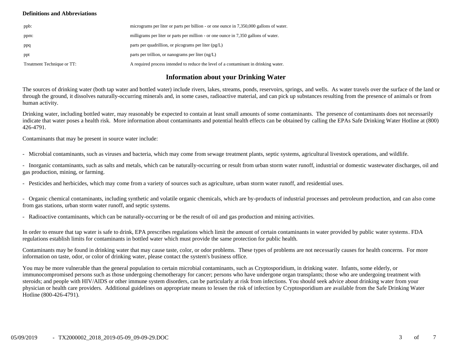### **Definitions and Abbreviations**

| ppb:                       | micrograms per liter or parts per billion - or one ounce in 7,350,000 gallons of water. |
|----------------------------|-----------------------------------------------------------------------------------------|
| ppm:                       | milligrams per liter or parts per million - or one ounce in 7,350 gallons of water.     |
| ppq                        | parts per quadrillion, or picograms per liter $(pg/L)$                                  |
| ppt                        | parts per trillion, or nanograms per liter $(ng/L)$                                     |
| Treatment Technique or TT: | A required process intended to reduce the level of a contaminant in drinking water.     |

# **Information about your Drinking Water**

The sources of drinking water (both tap water and bottled water) include rivers, lakes, streams, ponds, reservoirs, springs, and wells. As water travels over the surface of the land or through the ground, it dissolves naturally-occurring minerals and, in some cases, radioactive material, and can pick up substances resulting from the presence of animals or from human activity.

Drinking water, including bottled water, may reasonably be expected to contain at least small amounts of some contaminants. The presence of contaminants does not necessarily indicate that water poses a health risk. More information about contaminants and potential health effects can be obtained by calling the EPAs Safe Drinking Water Hotline at (800) 426-4791.

Contaminants that may be present in source water include:

- Microbial contaminants, such as viruses and bacteria, which may come from sewage treatment plants, septic systems, agricultural livestock operations, and wildlife.

- Inorganic contaminants, such as salts and metals, which can be naturally-occurring or result from urban storm water runoff, industrial or domestic wastewater discharges, oil and gas production, mining, or farming.

- Pesticides and herbicides, which may come from a variety of sources such as agriculture, urban storm water runoff, and residential uses.

- Organic chemical contaminants, including synthetic and volatile organic chemicals, which are by-products of industrial processes and petroleum production, and can also come from gas stations, urban storm water runoff, and septic systems.

- Radioactive contaminants, which can be naturally-occurring or be the result of oil and gas production and mining activities.

In order to ensure that tap water is safe to drink, EPA prescribes regulations which limit the amount of certain contaminants in water provided by public water systems. FDA regulations establish limits for contaminants in bottled water which must provide the same protection for public health.

Contaminants may be found in drinking water that may cause taste, color, or odor problems. These types of problems are not necessarily causes for health concerns. For more information on taste, odor, or color of drinking water, please contact the system's business office.

You may be more vulnerable than the general population to certain microbial contaminants, such as Cryptosporidium, in drinking water. Infants, some elderly, or immunocompromised persons such as those undergoing chemotherapy for cancer; persons who have undergone organ transplants; those who are undergoing treatment with steroids; and people with HIV/AIDS or other immune system disorders, can be particularly at risk from infections. You should seek advice about drinking water from your physician or health care providers. Additional guidelines on appropriate means to lessen the risk of infection by Cryptosporidium are available from the Safe Drinking Water Hotline (800-426-4791).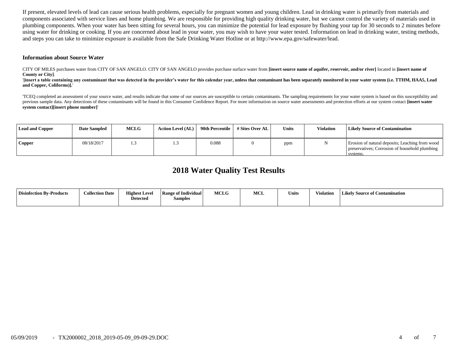If present, elevated levels of lead can cause serious health problems, especially for pregnant women and young children. Lead in drinking water is primarily from materials and components associated with service lines and home plumbing. We are responsible for providing high quality drinking water, but we cannot control the variety of materials used in plumbing components. When your water has been sitting for several hours, you can minimize the potential for lead exposure by flushing your tap for 30 seconds to 2 minutes before using water for drinking or cooking. If you are concerned about lead in your water, you may wish to have your water tested. Information on lead in drinking water, testing methods, and steps you can take to minimize exposure is available from the Safe Drinking Water Hotline or at http://www.epa.gov/safewater/lead.

#### **Information about Source Water**

CITY OF MILES purchases water from CITY OF SAN ANGELO. CITY OF SAN ANGELO provides purchase surface water from **[insert source name of aquifer, reservoir, and/or river]** located in **[insert name of County or City]**.

'**[insert a table containing any contaminant that was detected in the provider's water for this calendar year, unless that contaminant has been separately monitored in your water system (i.e. TTHM, HAA5, Lead and Copper, Coliforms)].**'

'TCEQ completed an assessment of your source water, and results indicate that some of our sources are susceptible to certain contaminants. The sampling requirements for your water system is based on this susceptibility and previous sample data. Any detections of these contaminants will be found in this Consumer Confidence Report. For more information on source water assessments and protection efforts at our system contact **[insert water system contact][insert phone number]**'

| <b>Lead and Copper</b> | <b>Date Sampled</b> | <b>MCLG</b> | <b>Action Level (AL)</b> | 90th Percentile | # Sites Over AL | Units | <b>Violation</b> | <b>Likely Source of Contamination</b>                                                                         |
|------------------------|---------------------|-------------|--------------------------|-----------------|-----------------|-------|------------------|---------------------------------------------------------------------------------------------------------------|
| Copper                 | 08/18/2017          |             |                          | 0.088           |                 | ppm   |                  | Erosion of natural deposits; Leaching from wood<br>preservatives; Corrosion of household plumbing<br>systems. |

# **2018 Water Quality Test Results**

| <b>Disinfection By-Products</b> | <b>Collection Date</b> | <b>Highest Level</b><br><b>Detected</b> | <b>Range of Individual</b><br>Samples | <b>MCLG</b> | <b>MCL</b> | <b>Units</b> | Violation | <b>Likely Source of Contamination</b> |
|---------------------------------|------------------------|-----------------------------------------|---------------------------------------|-------------|------------|--------------|-----------|---------------------------------------|
|                                 |                        |                                         |                                       |             |            |              |           |                                       |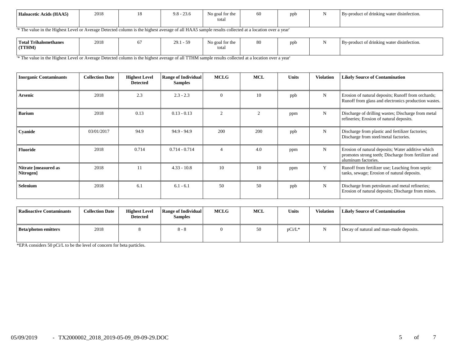| Haloacetic Acids (HAA5) | 2018 | $\overline{1}$ | $9.8 - 23.$<br>$\sim$ $\sim$<br>25.O | No goal for the<br>total | οc | ppb | By-product of drinking water disinfection. |
|-------------------------|------|----------------|--------------------------------------|--------------------------|----|-----|--------------------------------------------|
|                         |      |                |                                      |                          |    |     |                                            |

'\* The value in the Highest Level or Average Detected column is the highest average of all HAA5 sample results collected at a location over a year'

| <b>Total Trihalomethanes</b><br>(TTHM) | 2018 |  | 29.1<br>$\sim$ | $\sim$ $\sim$<br>No goal for the<br>tota. | 80 | ppb |  | By-product of drinking water disinfection. |
|----------------------------------------|------|--|----------------|-------------------------------------------|----|-----|--|--------------------------------------------|
|----------------------------------------|------|--|----------------|-------------------------------------------|----|-----|--|--------------------------------------------|

'\* The value in the Highest Level or Average Detected column is the highest average of all TTHM sample results collected at a location over a year'

| <b>Inorganic Contaminants</b>     | <b>Collection Date</b> | <b>Highest Level</b><br><b>Detected</b> | <b>Range of Individual</b><br><b>Samples</b> | <b>MCLG</b>   | <b>MCL</b>     | <b>Units</b> | <b>Violation</b> | <b>Likely Source of Contamination</b>                                                                                            |
|-----------------------------------|------------------------|-----------------------------------------|----------------------------------------------|---------------|----------------|--------------|------------------|----------------------------------------------------------------------------------------------------------------------------------|
| Arsenic                           | 2018                   | 2.3                                     | $2.3 - 2.3$                                  | $\Omega$      | 10             | ppb          | N                | Erosion of natural deposits; Runoff from orchards;<br>Runoff from glass and electronics production wastes.                       |
| <b>Barium</b>                     | 2018                   | 0.13                                    | $0.13 - 0.13$                                | $\mathcal{D}$ | $\overline{2}$ | ppm          | N                | Discharge of drilling wastes; Discharge from metal<br>refineries; Erosion of natural deposits.                                   |
| Cyanide                           | 03/01/2017             | 94.9                                    | $94.9 - 94.9$                                | 200           | 200            | ppb          | N                | Discharge from plastic and fertilizer factories;<br>Discharge from steel/metal factories.                                        |
| <b>Fluoride</b>                   | 2018                   | 0.714                                   | $0.714 - 0.714$                              | 4             | 4.0            | ppm          | N                | Erosion of natural deposits; Water additive which<br>promotes strong teeth; Discharge from fertilizer and<br>aluminum factories. |
| Nitrate [measured as<br>Nitrogen] | 2018                   | 11                                      | $4.33 - 10.8$                                | 10            | 10             | ppm          | Y                | Runoff from fertilizer use; Leaching from septic<br>tanks, sewage; Erosion of natural deposits.                                  |
| Selenium                          | 2018                   | 6.1                                     | $6.1 - 6.1$                                  | 50            | 50             | ppb          | N                | Discharge from petroleum and metal refineries;<br>Erosion of natural deposits; Discharge from mines.                             |

| Radioactive Contaminants    | <b>Collection Date</b> | <b>Highest Level</b><br><b>Detected</b> | <b>Range of Individual</b><br><b>Samples</b> | <b>MCLG</b> | <b>MCL</b> | <b>Units</b> | Violation | Likely Source of Contamination          |
|-----------------------------|------------------------|-----------------------------------------|----------------------------------------------|-------------|------------|--------------|-----------|-----------------------------------------|
| <b>Beta/photon emitters</b> | 2018                   |                                         | $8 - 8$                                      |             | 50         | pCi/L*       |           | Decay of natural and man-made deposits. |

 $\frac{1}{\text{EPA}}$  considers 50 pCi/L to be the level of concern for beta particles.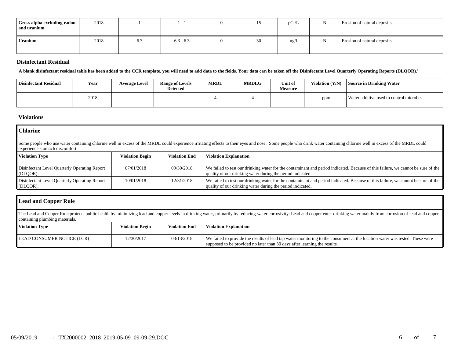| Gross alpha excluding radon<br>and uranium | 2018 |     | $\sim$      | ⊥J | pCi/L          | Erosion of natural deposits. |
|--------------------------------------------|------|-----|-------------|----|----------------|------------------------------|
| Uranium                                    | 2018 | 6.3 | $6.3 - 6.3$ | 30 | $\frac{ug}{g}$ | Erosion of natural deposits. |

## **Disinfectant Residual**

' **A blank disinfectant residual table has been added to the CCR template, you will need to add data to the fields. Your data can be taken off the Disinfectant Level Quarterly Operating Reports (DLQOR).**'

| Disinfectant Residual | Year | <b>Average Level</b> | <b>Range of Levels</b><br><b>Detected</b> | <b>MRDL</b> | <b>MRDLG</b> | Unit of<br><b>Measure</b> | Violation (Y/N) | Source in Drinking Water                 |
|-----------------------|------|----------------------|-------------------------------------------|-------------|--------------|---------------------------|-----------------|------------------------------------------|
|                       | 2018 |                      |                                           |             |              |                           | ppm             | Water additive used to control microbes. |

# **Violations**

| <b>Chlorine</b>                                                                                                                                                                                                                                         |                        |                      |                                                                                                                                                                                                |  |  |  |  |  |
|---------------------------------------------------------------------------------------------------------------------------------------------------------------------------------------------------------------------------------------------------------|------------------------|----------------------|------------------------------------------------------------------------------------------------------------------------------------------------------------------------------------------------|--|--|--|--|--|
| Some people who use water containing chlorine well in excess of the MRDL could experience irritating effects to their eyes and nose. Some people who drink water containing chlorine well in excess of the MRDL could<br>experience stomach discomfort. |                        |                      |                                                                                                                                                                                                |  |  |  |  |  |
| <b>Violation Type</b>                                                                                                                                                                                                                                   | <b>Violation Begin</b> | <b>Violation End</b> | <b>Violation Explanation</b>                                                                                                                                                                   |  |  |  |  |  |
| Disinfectant Level Quarterly Operating Report<br>(DLQOR).                                                                                                                                                                                               | 07/01/2018             | 09/30/2018           | We failed to test our drinking water for the contaminant and period indicated. Because of this failure, we cannot be sure of the<br>quality of our drinking water during the period indicated. |  |  |  |  |  |
| Disinfectant Level Quarterly Operating Report<br>(DLQOR).                                                                                                                                                                                               | 10/01/2018             | 12/31/2018           | We failed to test our drinking water for the contaminant and period indicated. Because of this failure, we cannot be sure of the<br>quality of our drinking water during the period indicated. |  |  |  |  |  |

| <b>Lead and Copper Rule</b>                                                                                                                                                                                                                                      |                        |                      |                                                                                                                                                                                                          |  |  |  |  |  |
|------------------------------------------------------------------------------------------------------------------------------------------------------------------------------------------------------------------------------------------------------------------|------------------------|----------------------|----------------------------------------------------------------------------------------------------------------------------------------------------------------------------------------------------------|--|--|--|--|--|
| The Lead and Copper Rule protects public health by minimizing lead and copper levels in drinking water, primarily by reducing water corrosivity. Lead and copper enter drinking water mainly from corrosion of lead and copper<br>containing plumbing materials. |                        |                      |                                                                                                                                                                                                          |  |  |  |  |  |
| <b>Violation Type</b>                                                                                                                                                                                                                                            | <b>Violation Begin</b> | <b>Violation End</b> | <b>Violation Explanation</b>                                                                                                                                                                             |  |  |  |  |  |
| LEAD CONSUMER NOTICE (LCR)                                                                                                                                                                                                                                       | 12/30/2017             | 03/13/2018           | We failed to provide the results of lead tap water monitoring to the consumers at the location water was tested. These were<br>supposed to be provided no later than 30 days after learning the results. |  |  |  |  |  |